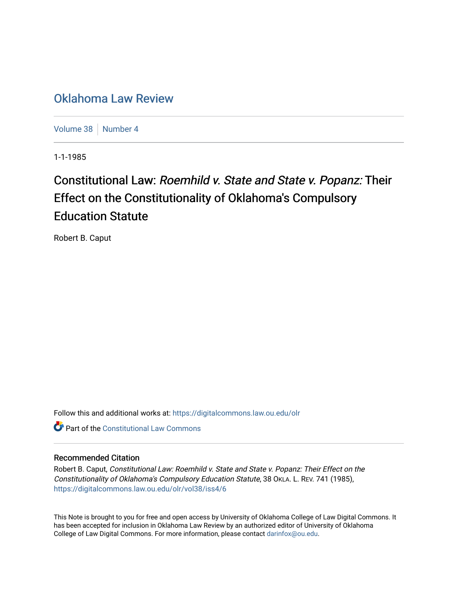## [Oklahoma Law Review](https://digitalcommons.law.ou.edu/olr)

[Volume 38](https://digitalcommons.law.ou.edu/olr/vol38) | [Number 4](https://digitalcommons.law.ou.edu/olr/vol38/iss4)

1-1-1985

# Constitutional Law: Roemhild v. State and State v. Popanz: Their Effect on the Constitutionality of Oklahoma's Compulsory Education Statute

Robert B. Caput

Follow this and additional works at: [https://digitalcommons.law.ou.edu/olr](https://digitalcommons.law.ou.edu/olr?utm_source=digitalcommons.law.ou.edu%2Folr%2Fvol38%2Fiss4%2F6&utm_medium=PDF&utm_campaign=PDFCoverPages)

**C** Part of the Constitutional Law Commons

### Recommended Citation

Robert B. Caput, Constitutional Law: Roemhild v. State and State v. Popanz: Their Effect on the Constitutionality of Oklahoma's Compulsory Education Statute, 38 OKLA. L. REV. 741 (1985), [https://digitalcommons.law.ou.edu/olr/vol38/iss4/6](https://digitalcommons.law.ou.edu/olr/vol38/iss4/6?utm_source=digitalcommons.law.ou.edu%2Folr%2Fvol38%2Fiss4%2F6&utm_medium=PDF&utm_campaign=PDFCoverPages) 

This Note is brought to you for free and open access by University of Oklahoma College of Law Digital Commons. It has been accepted for inclusion in Oklahoma Law Review by an authorized editor of University of Oklahoma College of Law Digital Commons. For more information, please contact [darinfox@ou.edu.](mailto:darinfox@ou.edu)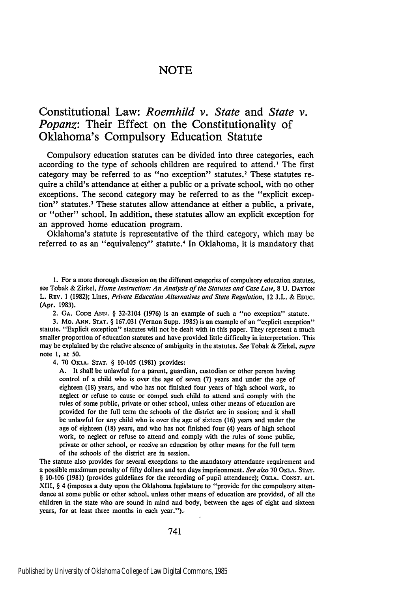## **NOTE**

## Constitutional Law: *Roemhild v. State* and *State v. Popanz:* Their Effect on the Constitutionality of Oklahoma's Compulsory Education Statute

Compulsory education statutes can be divided into three categories, each according to the type of schools children are required to attend.' The first category may be referred to as "no exception" statutes.<sup>2</sup> These statutes require a child's attendance at either a public or a private school, with no other exceptions. The second category may be referred to as the "explicit exception" statutes.3 These statutes allow attendance at either a public, a private, or "other" school. In addition, these statutes allow an explicit exception for an approved home education program.

Oklahoma's statute is representative of the third category, which may be referred to as an "equivalency" statute.<sup>4</sup> In Oklahoma, it is mandatory that

**1.** For a more thorough discussion on the different categories of compulsory education statutes, see Tobak **&** Zirkel, *Home Instruction: An Analysis of the Statutes and Case Law,* **8 U. DAYTON** L. **REv. 1 (1982);** Lines, *Private Education Alternatives and State Regulation,* 12 **J.L. & EDUC.** (Apr. **1983).**

2. **GA. CODE ANN.** § 32-2104 **(1976)** is an example of such a "no exception" statute.

**3.** Mo. **ANN. STAT.** § **167.031** (Vernon Supp. **1985)** is an example of an "explicit exception" statute. "Explicit exception" statutes will not **be** dealt with in this paper. They represent a much smaller proportion of education statutes and have provided little difficulty in interpretation. This may be explained **by** the relative absence of ambiguity in the statutes. *See* Tobak **&** Zirkel, *supra* note **1,** at **50.**

4. **70 OKLA. STAT.** § **10-105 (1981)** provides:

**A.** It shall be unlawful for a parent, guardian, custodian or other person having control of a child who is over the age of seven **(7)** years and under the age of eighteen **(18)** years, and who has not finished four years of high school work, to neglect or refuse to cause or compel such child to attend and comply with the rules of some public, private or other school, unless other means of education are provided for the full term the schools of the district are in session; and it shall be unlawful for any child who is over the age of sixteen **(16)** years and under the age of eighteen **(18)** years, and who has not finished four (4) years of high school work, to neglect or refuse to attend and comply with the rules of some public, private or other school, or receive an education by other means for the full term of the schools of the district are in session.

The statute also provides for several exceptions to the mandatory attendance requirement and a possible maximum penalty of **fifty** dollars and ten days imprisonment. *See also* 70 **OKLA. STAT.** § 10-106 (1981) (provides guidelines for the recording of pupil attendance); OKLA. **CONST.** art. XIII, § 4 (imposes a duty upon the Oklahoma legislature to "provide for the compulsory attendance at some public or other school, unless other means of education are provided, of all the children in the state who are sound in mind and body, between the ages of eight and sixteen years, for at least three months in each year.")-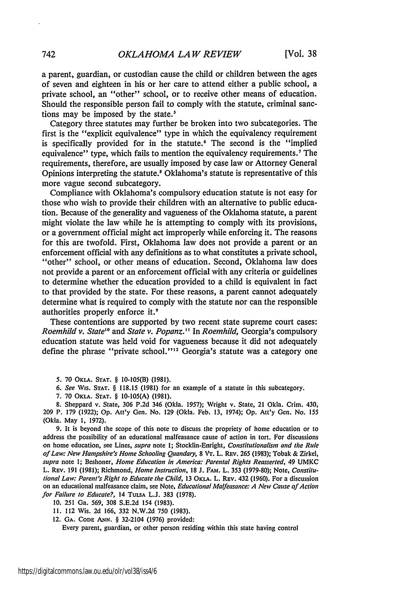a parent, guardian, or custodian cause the child or children between the ages of seven and eighteen in his or her care to attend either a public school, a private school, an "other" school, or to receive other means of education. Should the responsible person fail to comply with the statute, criminal sanctions may be imposed by the state.<sup>5</sup>

Category three statutes may further be broken into two subcategories. The first is the "explicit equivalence" type in which the equivalency requirement is specifically provided for in the statute.<sup>6</sup> The second is the "implied equivalence" type, which fails to mention the equivalency requirements.<sup>7</sup> The requirements, therefore, are usually imposed by case law or Attorney General Opinions interpreting the statute.' Oklahoma's statute is representative of this more vague second subcategory.

Compliance with Oklahoma's compulsory education statute is not easy for those who wish to provide their children with an alternative to public education. Because of the generality and vagueness of the Oklahoma statute, a parent might violate the law while he is attempting to comply with its provisions, or a government official might act improperly while enforcing it. The reasons for this are twofold. First, Oklahoma law does not provide a parent or an enforcement official with any definitions as to what constitutes a private school, "other" school, or other means of education. Second, Oklahoma law does not provide a parent or an enforcement official with any criteria or guidelines to determine whether the education provided to a child is equivalent in fact to that provided by the state. For these reasons, a parent cannot adequately determine what is required to comply with the statute nor can the responsible authorities properly enforce it.<sup>9</sup>

These contentions are supported by two recent state supreme court cases: *Roemhild v. State' "* and *State v. Popanz."* In *Roemhild,* Georgia's compulsory education statute was held void for vagueness because it did not adequately define the phrase "private school."'" Georgia's statute was a category one

**5. 70 OKLA. STAT.** § 10-105(B) **(1981).**

6. See Wis. **STAT.** § 118.15 (1981) for an example of a statute in this subcategory.

7. **70** OKLA. **STAT.** § **10-105(A)** (1981).

8. Sheppard v. State, 306 P.2d 346 (Okla. 1957); Wright v. State, 21 Okla. Crim. 430, 209 P. 179 (1922); Op. Att'y Gen. No. 129 (Okla. Feb. 13, 1974); Op. Att'y Gen. No. 155 (Okla. May 1, 1972).

9. It is beyond the scope of this note to discuss the propriety of home education or to address the possibility of an educational malfeasance cause of action in tort. For discussions on home education, see Lines, supra note 1; Stocklin-Enright, Constitutionalism and the Rule *of* Law: *New Hampshire's Home Schooling Quandary,* 8 VT. L. REv. 265 (1983); Tobak & Zirkel, *supra* note **1;** Beshoner, *Home Education in America: Parental Rights Reasserted,* 49 UMKC L. REy. 191 (1981); Richmond, *Home Instruction,* 18 **J.** FAm. L. **353** (1979-80); Note, *Constitutional Law: Parent's Right to Educate the Child,* 13 OKLA. L. REv. 432 (1960). For a discussion on an educational malfeasance claim, see Note, *Educational Malfeasance: A New* Cause of Action *for Failure to Educate?,* <sup>14</sup>**TULSA** L.J. 383 (1978).

10. 251 Ga. 569, 308 S.E.2d 154 (1983).

11. 112 Wis. 2d 166, 332 N.W.2d 750 (1983).

12. **GA. CODE ANN.** § 32-2104 (1976) provided:

Every parent, guardian, or other person residing within this state having control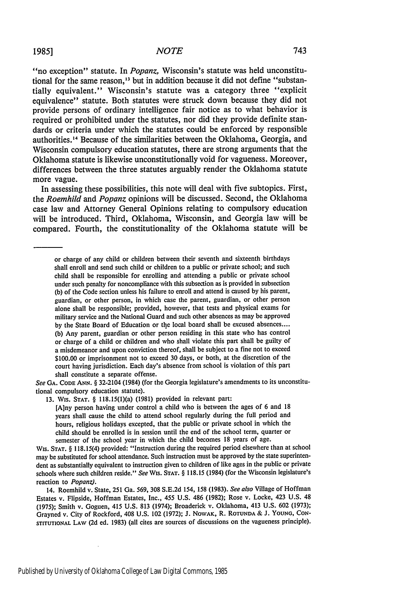#### *NOTE*

"no exception" statute. In *Popanz,* Wisconsin's statute was held unconstitutional for the same reason,<sup>13</sup> but in addition because it did not define "substantially equivalent." Wisconsin's statute was a category three "explicit equivalence" statute. Both statutes were struck down because they did not provide persons of ordinary intelligence fair notice as to what behavior is required or prohibited under the statutes, nor did they provide definite standards or criteria under which the statutes could be enforced by responsible authorities.<sup>14</sup> Because of the similarities between the Oklahoma, Georgia, and Wisconsin compulsory education statutes, there are strong arguments that the Oklahoma statute is likewise unconstitutionally void for vagueness. Moreover, differences between the three statutes arguably render the Oklahoma statute more vague.

In assessing these possibilities, this note will deal with five subtopics. First, the *Roemhild and Popanz* opinions will be discussed. Second, the Oklahoma case law and Attorney General Opinions relating to compulsory education will be introduced. Third, Oklahoma, Wisconsin, and Georgia law will be compared. Fourth, the constitutionality of the Oklahoma statute will be

or charge of any child or children between their seventh and sixteenth birthdays shall enroll and send such child or children to a public or private school; and such child shall be responsible for enrolling and attending a public or private school under such penalty for noncompliance with this subsection as is provided in subsection (b) of the Code section unless his failure to enroll and attend is caused by his parent, guardian, or other person, in which case the parent, guardian, or other person alone shall be responsible; provided, however, that tests and physical exams for military service and the National Guard and such other absences as may be approved by the State Board of Education or the local board shall be excused absences.... (b) Any parent, guardian or other person residing in this state who has control or charge of a child or children and who shall violate this part shall be guilty of a misdemeanor and upon conviction thereof, shall be subject to a fine not to exceed \$100.00 or imprisonment not to exceed 30 days, or both, at the discretion of the court having jurisdiction. Each day's absence from school is violation of this part shall constitute a separate offense.

*See* GA. **CODE** Atm. § 32-2104 (1984) (for the Georgia legislature's amendments to its unconstitutional compulsory education statute).

13. WIs. **STAT.** § 118.15(l)(a) (1981) provided in relevant part:

[A]ny person having under control a child who is between the ages of 6 and 18 years shall cause the child to attend school regularly during the full period and hours, religious holidays excepted, that the public or private school in which the child should be enrolled is in session until the end of the school term, quarter or semester of the school year in which the child becomes 18 years of age.

Wis. **STAT.** § 118.15(4) provided: "Instruction during the required period elsewhere than at school may be substituted for school attendance. Such instruction must be approved by the state superintendent as substantially equivalent to instruction given to children of like ages in the public or private schools where such children reside." *See* Wis. **STAT.** § **118.15** (1984) (for the Wisconsin legislature's reaction to *Popanz).*

14. Roemhild v. State, 251 Ga. 569, 308 S.E.2d 154, 158 (1983). *See also* Village of Hoffman Estates v. Flipside, Hoffman Estates, Inc., 455 U.S. 486 (1982); Rose v. Locke, 423 U.S. 48 (1975); Smith v. Goguen, 415 U.S. 813 (1974); Broaderick v. Oklahoma, 413 U.S. 602 (1973); Grayned v. City of Rockford, 408 U.S. 102 (1972); J. NOWAK, R. **ROTUNDA** & J. YOUNG, CON-**STITUTIONAL LAW** (2d ed. 1983) (all cites are sources of discussions on the vagueness principle).

i,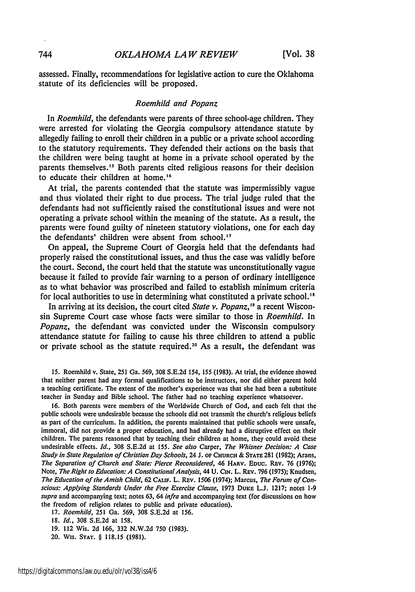assessed. Finally, recommendations for legislative action to cure the Oklahoma statute of its deficiencies will be proposed.

#### *Roemhild and Popanz*

In *Roemhild,* the defendants were parents of three school-age children. They were arrested for violating the Georgia compulsory attendance statute by allegedly failing to enroll their children in a public or a private school according to the statutory requirements. They defended their actions on the basis that the children were being taught at home in a private school operated by the parents themselves.<sup>15</sup> Both parents cited religious reasons for their decision to educate their children at home.<sup>16</sup>

At trial, the parents contended that the statute was impermissibly vague and thus violated their right to due process. The trial judge ruled that the defendants had not sufficiently raised the constitutional issues and were not operating a private school within the meaning of the statute. As a result, the parents were found guilty of nineteen statutory violations, one for each day the defendants' children were absent from school.'

On appeal, the Supreme Court of Georgia held that the defendants had properly raised the constitutional issues, and thus the case was validly before the court. Second, the court held that the statute was unconstitutionally vague because it failed to provide fair warning to a person of ordinary intelligence as to what behavior was proscribed and failed to establish minimum criteria for local authorities to use in determining what constituted a private school. **I**

In arriving at its decision, the court cited *State v. Popanz,"I* a recent Wisconsin Supreme Court case whose facts were similar to those in *Roemhild.* In *Popanz,* the defendant was convicted under the Wisconsin compulsory attendance statute for failing to cause his three children to attend a public or private school as the statute required. 20 As a result, the defendant was

15. Roemhild v. State, 251 Ga. 569, 308 S.E.2d *154,* 155 (1983). At trial, the evidence showed that neither parent had any formal qualifications to be instructors, nor did either parent hold a teaching certificate. The extent of the mother's experience was that she had been a substitute teacher in Sunday and Bible school. The father had no teaching experience whatsoever.

16. Both parents were members of the Worldwide Church of God, and each felt that the public schools were undesirable because the schools did not transmit the church's religious beliefs as part of the curriculum. In addition, the parents maintained that public schools were unsafe, immoral, did not provide a proper education, and had already had a disruptive effect on their children. The parents reasoned that by teaching their children at home, they could avoid these undesirable effects. *Id.,* 308 S.E.2d at 155. *See* also Carper, The Whisner Decision: *A* Case *Study in* State Regulation of *Christian Day Schools,* 24 **J. OF** CHURCH & **STATE 281** (1982); Arans, *The Separation of Church and State: Pierce Reconsidered,* 46 HARV. **EDUC.** Rav. 76 (1976); Note, *The Right to Education: A Constitutional Analysis*, 44 U. CIN. L. REV. 796 (1975); Knudsen, *The Education of the Amish Child,* 62 *CAmv.* L. REv. 1506 (1974); Marcus, *The Forum of Conscious: Applying Standards Under the Free Exercise Clause,* 1973 DuKE L.J. 1217; notes **1-9** *supra* and accompanying text; notes 63, 64 *infra* and accompanying text (for discussions on how the freedom of religion relates to public and private education).

17. *Roemhild,* 251 Ga. 569, 308 S.E.2d at 156.

18. *Id.,* 308 S.E.2d at 158.

19. 112 Wis. 2d 166, 332 N.W.2d 750 (1983).

20. Wis. **STAT.** § 118.15 **(1981).**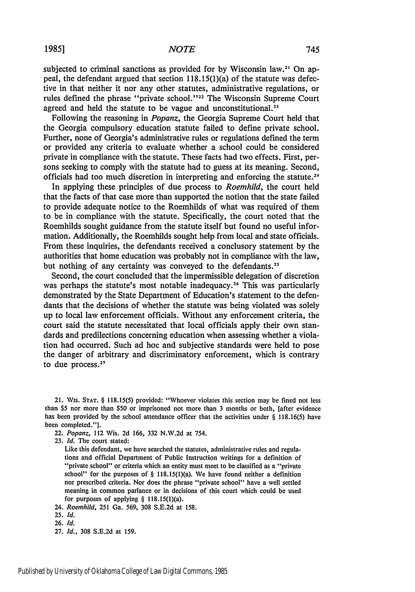subjected to criminal sanctions as provided for by Wisconsin law.<sup>21</sup> On appeal, the defendant argued that section 118.15(1)(a) of the statute was defective in that neither it nor any other statutes, administrative regulations, or rules defined the phrase "private school."<sup>22</sup> The Wisconsin Supreme Court agreed and held the statute to be vague and unconstitutional.<sup>23</sup>

Following the reasoning in *Popanz,* the Georgia Supreme Court held that the Georgia compulsory education statute failed to define private school. Further, none of Georgia's administrative rules or regulations defined the term or provided any criteria to evaluate whether a school could be considered private in compliance with the statute. These facts had two effects. First, persons seeking to comply with the statute had to guess at its meaning. Second, officials had too much discretion in interpreting and enforcing the statute. <sup>24</sup>

In applying these principles of due process to *Roemhild,* the court held that the facts of that case more than supported the notion that the state failed to provide adequate notice to the Roemhilds of what was required of them to be in compliance with the statute. Specifically, the court noted that the Roemhilds sought guidance from the statute itself but found no useful information. Additionally, the Roemhilds sought help from local and state officials. From these inquiries, the defendants received a conclusory statement by the authorities that home education was probably not in compliance with the law, but nothing of any certainty was conveyed to the defendants.<sup>21</sup>

Second, the court concluded that the impermissible delegation of discretion was perhaps the statute's most notable inadequacy.<sup>26</sup> This was particularly demonstrated by the State Department of Education's statement to the defendants that the decisions of whether the statute was being violated was solely up to local law enforcement officials. Without any enforcement criteria, the court said the statute necessitated that local officials apply their own standards and predilections concerning education when assessing whether a violation had occurred. Such ad hoc and subjective standards were held to pose the danger of arbitrary and discriminatory enforcement, which is contrary to due process.<sup>27</sup>

21. Wis. **STAT.** § 118.15(5) provided: "Whoever violates this section may be fined not less than \$5 nor more than \$50 or imprisoned not more than 3 months or both, [after evidence has been provided by the school attendance officer that the activities under § 118.16(5) have been completed."].

22. *Popanz,* 112 Wis. 2d 166, 332 N.W.2d at 754.

Like this defendant, we have searched the statutes, administrative rules and regulations and official Department of Public Instruction writings for a definition of "private school" or criteria which an entity must meet to be classified as a "private school" for the purposes of  $\S$  118.15(1)(a). We have found neither a definition nor prescribed criteria. Nor does the phrase "private school" have a well settled meaning in common parlance or in decisions of this court which could be used for purposes of applying  $\S$  118.15(1)(a).

24. *Roemhild,* 251 Ga. 569, 308 S.E.2d at 158.

<sup>23.</sup> *Id.* The court stated:

**<sup>25.</sup> Id.**

<sup>26.</sup> **Id.**

<sup>27.</sup> **Id.,** 308 S.E.2d at 159.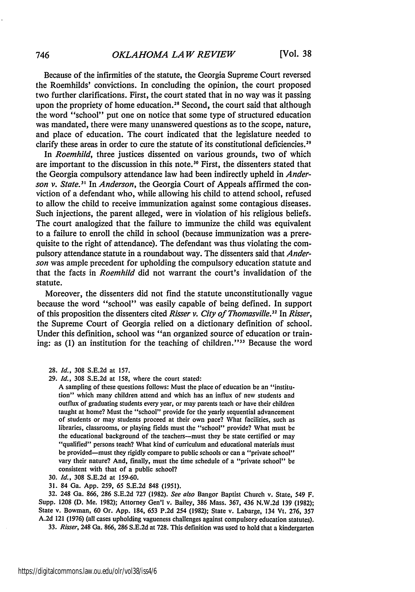Because of the infirmities of the statute, the Georgia Supreme Court reversed the Roemhilds' convictions. In concluding the opinion, the court proposed two further clarifications. First, the court stated that in no way was it passing upon the propriety of home education.<sup>28</sup> Second, the court said that although the word "school" put one on notice that some type of structured education was mandated, there were many unanswered questions as to the scope, nature, and place of education. The court indicated that the legislature needed to clarify these areas in order to cure the statute of its constitutional deficiencies. <sup>29</sup>

In *Roemhild,* three justices dissented on various grounds, two of which are important to the discussion in this note.<sup>30</sup> First, the dissenters stated that the Georgia compulsory attendance law had been indirectly upheld in *Anderson v. State.'* In *Anderson,* the Georgia Court of Appeals affirmed the conviction of a defendant who, while allowing his child to attend school, refused to allow the child to receive immunization against some contagious diseases. Such injections, the parent alleged, were in violation of his religious beliefs. The court analogized that the failure to immunize the child was equivalent to a failure to enroll the child in school (because immunization was a prerequisite to the right of attendance). The defendant was thus violating the compulsory attendance statute in a roundabout way. The dissenters said that *Anderson* was ample precedent for upholding the compulsory education statute and that the facts in *Roemhild* did not warrant the court's invalidation of the statute.

Moreover, the dissenters did not find the statute unconstitutionally vague because the word "school" was easily capable of being defined. In support of this proposition the dissenters cited *Risser v. City of Thomasville*.<sup>32</sup> In *Risser*, the Supreme Court of Georgia relied on a dictionary definition of school. Under this definition, school was "an organized source of education or training: as (1) an institution for the teaching of children."<sup>33</sup> Because the word

- 28. *Id.,* 308 S.E.2d at 157.
- 29. *Id.,* 308 S.E.2d at 158, where the court stated:

A sampling of these questions follows: Must the place of education be an "institution" which many children attend and which has an influx of new students and outflux of graduating students every year, or may parents teach or have their children taught at home? Must the "school" provide for the yearly sequential advancement of students or may students proceed at their own pace? What facilities, such as libraries, classrooms, or playing fields must the "school" provide? What must be the educational background of the teachers-must they be state certified or may "qualified" persons teach? What kind of curriculum and educational materials must be provided-must they rigidly compare to public schools or can a "private school" vary their nature? And, finally, must the time schedule of a "private school" be consistent with that of a public school?

30. *Id.,* 308 S.E.2d at 159-60.

31. 84 Ga. **App.** 259, 65 S.E.2d **848** (1951).

32. 248 Ga. 866, 286 S.E.2d 727 (1982). *See* also Bangor Baptist Church v. State, 549 F. Supp. 1208 (D. Me. 1982); Attorney Gen'l v. Bailey, 386 Mass. 367, 436 N.W.2d 139 **(1982);** State v. Bowman, 60 Or. **App.** 184, 653 P.2d 254 (1982); State v. Labarge, 134 Vt. 276, 357 A.2d 121 (1976) (all cases upholding vagueness challenges against compulsory education statutes). 33. Risser, 248 Ga. 866, 286 S.E.2d at 728. This definition was used to hold that a kindergarten

https://digitalcommons.law.ou.edu/olr/vol38/iss4/6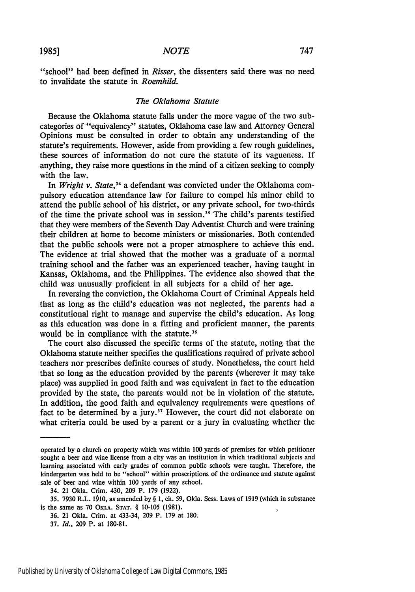"school" had been defined in *Risser,* the dissenters said there was no need to invalidate the statute in *Roemhild.*

#### *The Oklahoma Statute*

Because the Oklahoma statute falls under the more vague of the two subcategories of "equivalency" statutes, Oklahoma case law and Attorney General Opinions must be consulted in order to obtain any understanding of the statute's requirements. However, aside from providing a few rough guidelines, these sources of information do not cure the statute of its vagueness. If anything, they raise more questions in the mind of a citizen seeking to comply with the law.

In *Wright v. State,3"* a defendant was convicted under the Oklahoma compulsory education attendance law for failure to compel his minor child to attend the public school of his district, or any private school, for two-thirds of the time the private school was in session.<sup>35</sup> The child's parents testified that they were members of the Seventh Day Adventist Church and were training their children at home to become ministers or missionaries. Both contended that the public schools were not a proper atmosphere to achieve this end. The evidence at trial showed that the mother was a graduate of a normal training school and the father was an experienced teacher, having taught in Kansas, Oklahoma, and the Philippines. The evidence also showed that the child was unusually proficient in all subjects for a child of her age.

In reversing the conviction, the Oklahoma Court of Criminal Appeals held that as long as the child's education was not neglected, the parents had a constitutional right to manage and supervise the child's education. As long as this education was done in a fitting and proficient manner, the parents would be in compliance with the statute.<sup>36</sup>

The court also discussed the specific terms of the statute, noting that the Oklahoma statute neither specifies the qualifications required of private school teachers nor prescribes definite courses of study. Nonetheless, the court held that so long as the education provided by the parents (wherever it may take place) was supplied in good faith and was equivalent in fact to the education provided by the state, the parents would not be in violation of the statute. In addition, the good faith and equivalency requirements were questions of fact to be determined by a jury.<sup>37</sup> However, the court did not elaborate on what criteria could be used by a parent or a jury in evaluating whether the

operated by a church on property which was within 100 yards of premises for which petitioner sought a beer and wine license from a city was an institution in which traditional subjects and learning associated with early grades of common public schools were taught. Therefore, the kindergarten was held to be "school" within proscriptions of the ordinance and statute against sale of beer and wine within 100 yards of any school.

<sup>34. 21</sup> Okla. Crim. 430, 209 P. 179 (1922).

<sup>35. 7930</sup> R.L. 1910, as amended by § 1, ch. **59,** Okla. Sess. Laws of 1919 (which in substance is the same as 70 **OKLA. STAT.** § **10-105** (1981).

<sup>36. 21</sup> Okla. Crim. at 433-34, 209 P. 179 at 180.

<sup>37.</sup> *Id.,* 209 P. at 180-81.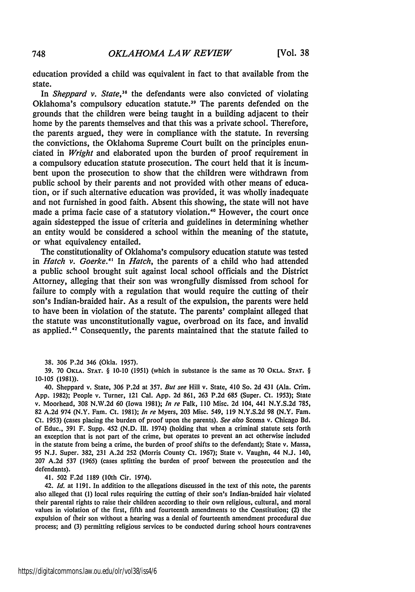education provided a child was equivalent in fact to that available from the state.

In *Sheppard v. State,38* the defendants were also convicted of violating Oklahoma's compulsory education statute.<sup>39</sup> The parents defended on the grounds that the children were being taught in a building adjacent to their home by the parents themselves and that this was a private school. Therefore, the parents argued, they were in compliance with the statute. In reversing the convictions, the Oklahoma Supreme Court built on the principles enunciated in *Wright* and elaborated upon the burden of proof requirement in a compulsory education statute prosecution. The court held that it is incumbent upon the prosecution to show that the children were withdrawn from public school by their parents and not provided with other means of education, or if such alternative education was provided, it was wholly inadequate and not furnished in good faith. Absent this showing, the state will not have made a prima facie case of a statutory violation.<sup>40</sup> However, the court once again sidestepped the issue of criteria and guidelines in determining whether an entity would be considered a school within the meaning of the statute, or what equivalency entailed.

The constitutionality of Oklahoma's compulsory education statute was tested in *Hatch v.* Goerke." In *Hatch,* the parents of a child who had attended a public school brought suit against local school officials and the District Attorney, alleging that their son was wrongfully dismissed from school for failure to comply with a regulation that would require the cutting of their son's Indian-braided hair. As a result of the expulsion, the parents were held to have been in violation of the statute. The parents' complaint alleged that the statute was unconstitutionally vague, overbroad on its face, and invalid as applied."' Consequently, the parents maintained that the statute failed to

**38. 306 P.2d** 346 (Okla. 1957).

**39. 70 OKLA. STAT.** § **10-10** (1951) (which in substance is the same as 70 **OKLA. STAT.** § 10-105 (1981)).

40. Sheppard v. State, 306 P.2d at 357. *But see* Hill v. State, 410 So. 2d 431 (Ala. Crim. App. 1982); People v. Turner, 121 Cal. App. 2d 861, 263 P.2d 685 (Super. Ct. 1953); State v. Moorhead, 308 N.W.2d 60 (Iowa 1981); *In re* Falk, **110** Misc. 2d 104, 441 N.Y.S.2d 785, 82 A.2d 974 (N.Y. Fam. Ct. 1981); *In re* Myers, **203** Misc. 549, 119 N.Y.S.2d 98 (N.Y. Fam. Ct. 1953) (cases placing the burden of proof upon the parents). *See also* Scoma v. Chicago Bd. of Educ., 391 F. Supp. 452 (N.D. **Ill.** 1974) (holding that when a criminal statute sets forth an exception that is not part of the crime, but operates to prevent an act otherwise included in the statute from being a crime, the burden of proof shifts to the defendant); State v. Massa, 95 N.J. Super. 382, 231 A.2d 252 (Morris County Ct. 1967); State v. Vaughn, 44 N.J. 140, 207 A.2d 537 (1965) (cases splitting the burden of proof between the prosecution and the defendants).

41. 502 F.2d 1189 (10th Cir. 1974).

42. *Id.* at 1191. In addition to the allegations discussed in the text of this note, the parents also alleged that (1) local rules requiring the cutting of their son's Indian-braided hair violated their parental rights to raise their children according to their own religious, cultural, and moral values in violation of the first, fifth and fourteenth amendments to the Constitution; (2) the expulsion of their son without a hearing was a denial of fourteenth amendment procedural due process; and (3) permitting religious services to be conducted during school hours contravenes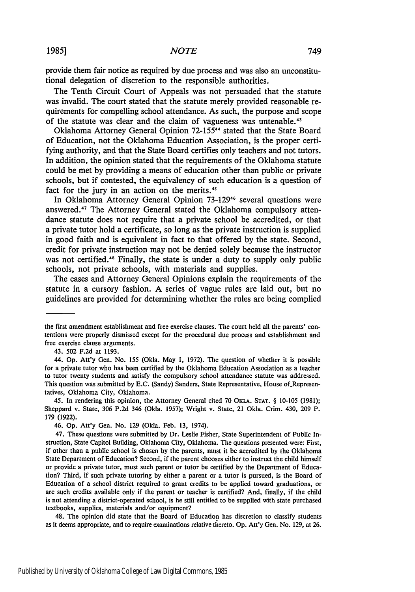**19851**

provide them fair notice as required **by** due process and was also an unconstitutional delegation of discretion to the responsible authorities.

The Tenth Circuit Court of Appeals was not persuaded that the statute was invalid. The court stated that the statute merely provided reasonable requirements for compelling school attendance. As such, the purpose and scope of the statute was clear and the claim of vagueness **was** untenable.4<sup>3</sup>

Oklahoma Attorney General Opinion 72-155<sup>44</sup> stated that the State Board of Education, not the Oklahoma Education Association, is the proper certifying authority, and that the State Board certifies only teachers and not tutors. In addition, the opinion stated that the requirements of the Oklahoma statute could be met **by** providing a means of education other than public or private schools, but if contested, the equivalency of such education is a question of fact for the jury in an action on the merits.<sup>45</sup>

In Oklahoma Attorney General Opinion **73-129"6** several questions were answered. 47 The Attorney General stated the Oklahoma compulsory attendance statute does not require that a private school be accredited, or that a private tutor hold a certificate, so long as the private instruction is supplied in good faith and is equivalent in fact to that offered **by** the state. Second, credit for private instruction may not be denied solely because the instructor was not certified.48 Finally, the state is under a duty to supply only public schools, not private schools, with materials and supplies.

The cases and Attorney General Opinions explain the requirements of the statute in a cursory fashion. **A** series of vague rules are laid out, but no guidelines are provided for determining whether the rules are being complied

48. The opinion did state that the Board of Education has discretion to classify students as it deems appropriate, and to require examinations relative thereto. **Op.** Att'y Gen. No. 129, at 26.

the first amendment establishment and free exercise clauses. The court held all the parents' contentions were properly dismissed except for the procedural due process and establishment and free exercise clause arguments.

<sup>43. 502</sup> F.2d at 1193.

<sup>44.</sup> **Op.** Att'y Gen. No. 155 (Okla. May 1, 1972). The question of whether it is possible for a private tutor who has been certified by the Oklahoma Education Association as a teacher to tutor twenty students and satisfy the compulsory school attendance statute was addressed. This question was submitted by E.C. (Sandy) Sanders, State Representative, House of.Representatives, Oklahoma City, Oklahoma.

<sup>45.</sup> In rendering this opinion, the Attorney General cited 70 OKLA. **STAT.** § 10-105 (1981); Sheppard v. State, 306 P.2d 346 (Okla. 1957); Wright v. State, 21 Okla. Crim. 430, 209 P. 179 (1922).

<sup>46.</sup> **Op.** Att'y Gen. No. 129 (Okla. Feb. 13, 1974).

<sup>47.</sup> These questions were submitted by Dr. Leslie Fisher, State Superintendent of Public Instruction, State Capitol Building, Oklahoma City, Oklahoma. The questions presented were: First, if other than a public school is chosen by the parents, must it be accredited by the Oklahoma State Department of Education? Second, if the parent chooses either to instruct the child himself or provide a private tutor, must such parent or tutor be certified by the Department of Education? Third, if such private tutoring by either a parent or a tutor is pursued, is the Board of Education of a school district required to grant credits to be applied toward graduations, or are such credits available only if the parent or teacher is certified? And, finally, if the child is not attending a district-operated school, is he still entitled to be supplied with state purchased textbooks, supplies, materials and/or equipment?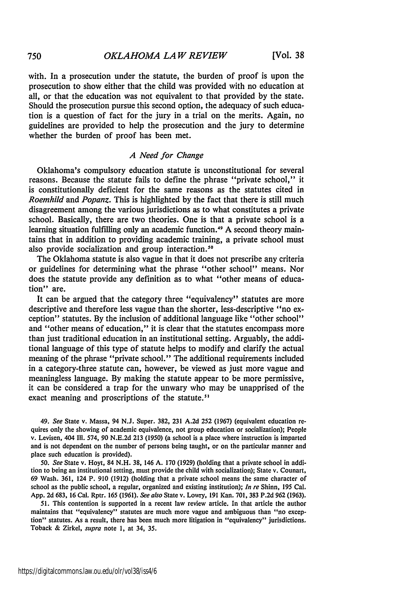with. In a prosecution under the statute, the burden of proof is upon the prosecution to show either that the child was provided with no education at all, or that the education was not equivalent to that provided by the state. Should the prosecution pursue this second option, the adequacy of such education is a question of fact for the jury in a trial on the merits. Again, no guidelines are provided to help the prosecution and the jury to determine whether the burden of proof has been met.

#### *A Need for Change*

Oklahoma's compulsory education statute is unconstitutional for several reasons. Because the statute fails to define the phrase "private school," it is constitutionally deficient for the same reasons as the statutes cited in *Roemhild* and *Popanz.* This is highlighted by the fact that there is still much disagreement among the various jurisdictions as to what constitutes a private school. Basically, there are two theories. One is that a private school is a learning situation fulfilling only an academic function.<sup>49</sup> A second theory maintains that in addition to providing academic training, a private school must also provide socialization and group interaction.<sup>50</sup>

The Oklahoma statute is also vague in that it does not prescribe any criteria or guidelines for determining what the phrase "other school" means. Nor does the statute provide any definition as to what "other means of education" are.

It can be argued that the category three "equivalency" statutes are more descriptive and therefore less vague than the shorter, less-descriptive "no exception" statutes. By the inclusion of additional language like "other school" and "other means of education," it is clear that the statutes encompass more than just traditional education in an institutional setting. Arguably, the additional language of this type of statute helps to modify and clarify the actual meaning of the phrase "private school." The additional requirements included in a category-three statute can, however, be viewed as just more vague and meaningless language. By making the statute appear to be more permissive, it can be considered a trap for the unwary who may be unapprised of the exact meaning and proscriptions of the statute.<sup>51</sup>

*49. See* State v. Massa, 94 N.J. Super. 382, 231 A.2d 252 (1967) (equivalent education requires only the showing of academic equivalence, not group education or socialization); People v. Levisen, 404 Il1. 574, **90** N.E.2d 213 (1950) (a school is a place where instruction is imparted and is not dependent on the number of persons being taught, or on the particular manner and place such education is provided).

50. *See* State v. Hoyt, 84 N.H. 38, 146 A. 170 (1929) (holding that a private school in addition to being an institutional setting, must provide the child with socialization); State v. Counart, 69 Wash. 361, 124 P. 910 (1912) (holding that a private school means the same character of school as the public school, a regular, organized and existing institution); *In re* Shinn, 195 Cal. App. 2d 683, 16 Cal. Rptr. **165** (1961). *See also* State v. Lowry, 191 Kan. 701, **383** P.2d **962 (1963).**

51. This contention is supported in a recent law review article. In that article the author maintains that "equivalency" statutes are much more vague and ambiguous than "no exception" statutes. As a result, there has been much more litigation in "equivalency" jurisdictions, Toback & Zirkel, *supra* note 1, at 34, 35.

750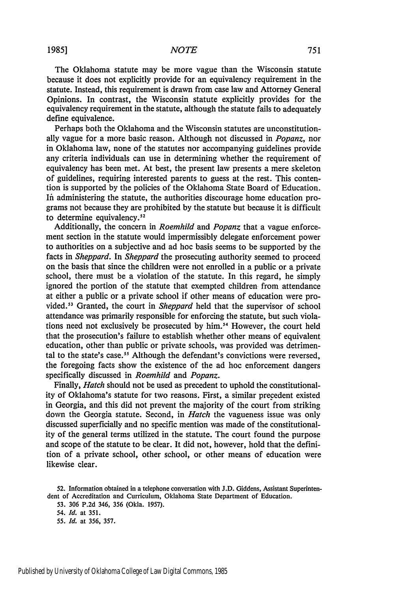#### *NOTE*

The Oklahoma statute may be more vague than the Wisconsin statute because it does not explicitly provide for an equivalency requirement in the statute. Instead, this requirement is drawn from case law and Attorney General Opinions. In contrast, the Wisconsin statute explicitly provides for the equivalency requirement in the statute, although the statute fails to adequately define equivalence.

Perhaps both the Oklahoma and the Wisconsin statutes are unconstitutionally vague for a more basic reason. Although not discussed in *Popanz,* nor in Oklahoma law, none of the statutes nor accompanying guidelines provide any criteria individuals can use in determining whether the requirement of equivalency has been met. At best, the present law presents a mere skeleton of guidelines, requiring interested parents to guess at the rest. This contention is supported by the policies of the Oklahoma State Board of Education. **Ift** administering the statute, the authorities discourage home education programs not because they are prohibited by the statute but because it is difficult to determine equivalency. $52$ 

Additionally, the concern in *Roemhild* and *Popanz* that a vague enforcement section in the statute would impermissibly delegate enforcement power to authorities on a subjective and ad hoc basis seems to be supported by the facts in *Sheppard.* In *Sheppard* the prosecuting authority seemed to proceed on the basis that since the children were not enrolled in a public or a private school, there must be a violation of the statute. In this regard, he simply ignored the portion of the statute that exempted children from attendance at either a public or a private school if other means of education were provided.<sup>53</sup> Granted, the court in *Sheppard* held that the supervisor of school attendance was primarily responsible for enforcing the statute, but such violations need not exclusively be prosecuted by him."' However, the court held that the prosecution's failure to establish whether other means of equivalent education, other than public or private schools, was provided was detrimental to the state's case.<sup>55</sup> Although the defendant's convictions were reversed, the foregoing facts show the existence of the ad hoc enforcement dangers specifically discussed in *Roemhild* and *Popanz.*

Finally, *Hatch* should not be used as precedent to uphold the constitutionality of Oklahoma's statute for two reasons. First, a similar precedent existed in Georgia, and this did not prevent the majority of the court from striking down the Georgia statute. Second, in *Hatch* the vagueness issue was only discussed superficially and no specific mention was made of the constitutionality of the general terms utilized in the statute. The court found the purpose and scope of the statute to be clear. It did not, however, hold that the definition of a private school, other school, or other means of education were likewise clear.

**52.** Information obtained in a telephone conversation with **J.D.** Giddens, Assistant Superintendent of Accreditation and Curriculum, Oklahoma State Department of Education.

53. 306 P.2d 346, 356 (Okla. 1957).

*55. Id.* at 356, 357.

*<sup>54.</sup> Id.* at 351.